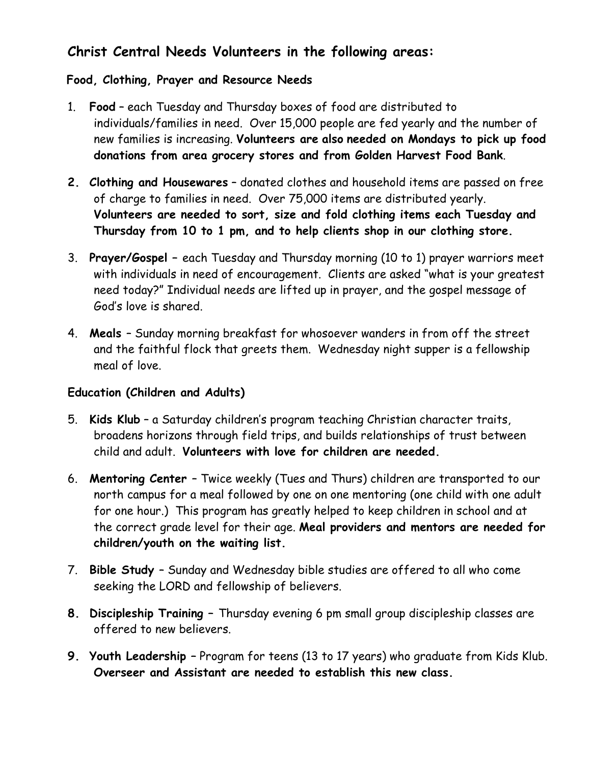# Christ Central Needs Volunteers in the following areas:

## Food, Clothing, Prayer and Resource Needs

- 1. Food each Tuesday and Thursday boxes of food are distributed to individuals/families in need. Over 15,000 people are fed yearly and the number of new families is increasing. Volunteers are also needed on Mondays to pick up food donations from area grocery stores and from Golden Harvest Food Bank.
- 2. Clothing and Housewares donated clothes and household items are passed on free of charge to families in need. Over 75,000 items are distributed yearly. Volunteers are needed to sort, size and fold clothing items each Tuesday and Thursday from 10 to 1 pm, and to help clients shop in our clothing store.
- 3. Prayer/Gospel each Tuesday and Thursday morning (10 to 1) prayer warriors meet with individuals in need of encouragement. Clients are asked "what is your greatest need today?" Individual needs are lifted up in prayer, and the gospel message of God's love is shared.
- 4. Meals Sunday morning breakfast for whosoever wanders in from off the street and the faithful flock that greets them. Wednesday night supper is a fellowship meal of love.

## Education (Children and Adults)

- 5. Kids Klub a Saturday children's program teaching Christian character traits, broadens horizons through field trips, and builds relationships of trust between child and adult. Volunteers with love for children are needed.
- 6. Mentoring Center Twice weekly (Tues and Thurs) children are transported to our north campus for a meal followed by one on one mentoring (one child with one adult for one hour.) This program has greatly helped to keep children in school and at the correct grade level for their age. Meal providers and mentors are needed for children/youth on the waiting list.
- 7. Bible Study Sunday and Wednesday bible studies are offered to all who come seeking the LORD and fellowship of believers.
- 8. Discipleship Training Thursday evening 6 pm small group discipleship classes are offered to new believers.
- 9. Youth Leadership Program for teens (13 to 17 years) who graduate from Kids Klub. Overseer and Assistant are needed to establish this new class.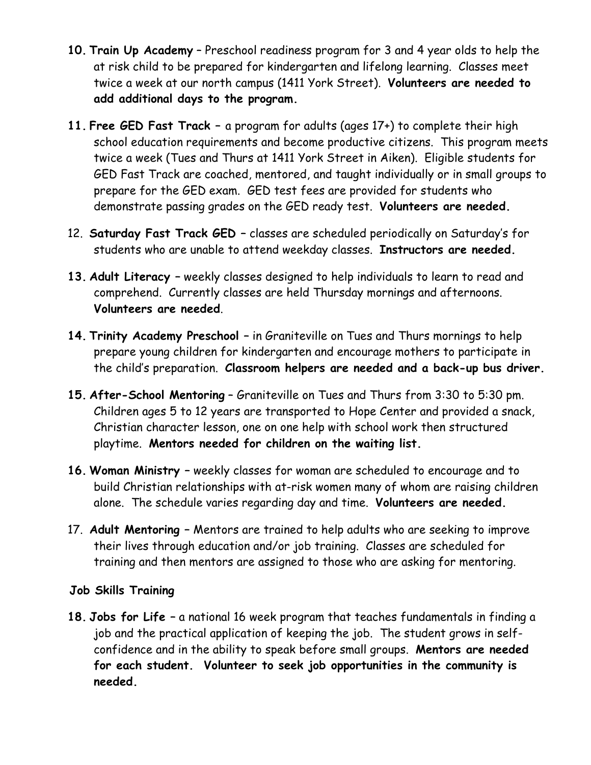- 10. Train Up Academy Preschool readiness program for 3 and 4 year olds to help the at risk child to be prepared for kindergarten and lifelong learning. Classes meet twice a week at our north campus (1411 York Street). Volunteers are needed to add additional days to the program.
- 11. Free GED Fast Track a program for adults (ages 17+) to complete their high school education requirements and become productive citizens. This program meets twice a week (Tues and Thurs at 1411 York Street in Aiken). Eligible students for GED Fast Track are coached, mentored, and taught individually or in small groups to prepare for the GED exam. GED test fees are provided for students who demonstrate passing grades on the GED ready test. Volunteers are needed.
- 12. Saturday Fast Track GED classes are scheduled periodically on Saturday's for students who are unable to attend weekday classes. Instructors are needed.
- 13. Adult Literacy weekly classes designed to help individuals to learn to read and comprehend. Currently classes are held Thursday mornings and afternoons. Volunteers are needed.
- 14. Trinity Academy Preschool in Graniteville on Tues and Thurs mornings to help prepare young children for kindergarten and encourage mothers to participate in the child's preparation. Classroom helpers are needed and a back-up bus driver.
- 15. After-School Mentoring Graniteville on Tues and Thurs from 3:30 to 5:30 pm. Children ages 5 to 12 years are transported to Hope Center and provided a snack, Christian character lesson, one on one help with school work then structured playtime. Mentors needed for children on the waiting list.
- 16. Woman Ministry weekly classes for woman are scheduled to encourage and to build Christian relationships with at-risk women many of whom are raising children alone. The schedule varies regarding day and time. Volunteers are needed.
- 17. Adult Mentoring Mentors are trained to help adults who are seeking to improve their lives through education and/or job training. Classes are scheduled for training and then mentors are assigned to those who are asking for mentoring.

## Job Skills Training

18. Jobs for Life – a national 16 week program that teaches fundamentals in finding a job and the practical application of keeping the job. The student grows in selfconfidence and in the ability to speak before small groups. Mentors are needed for each student. Volunteer to seek job opportunities in the community is needed.